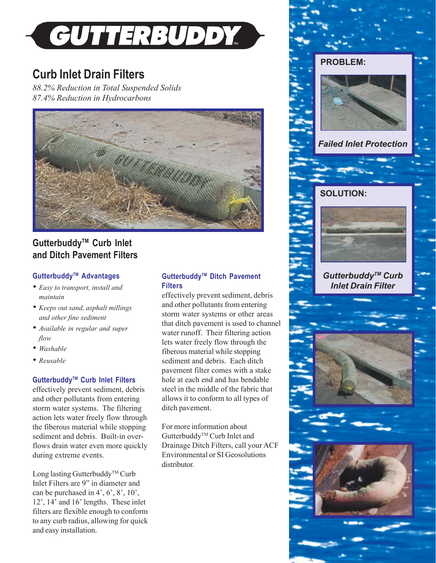

# **Curb Inlet Drain Filters**

*88.2% Reduction in Total Suspended Solids 87.4% Reduction in Hydrocarbons*



# **GutterbuddyTM Curb Inlet and Ditch Pavement Filters**

## **GutterbuddyTM Advantages**

- *• Easy to transport, install and maintain*
- *• Keeps out sand, asphalt millings and other fine sediment*
- *• Available in regular and super flow*
- *• Washable*
- *• Reusable*

## **GutterbuddyTM Curb Inlet Filters**

effectively prevent sediment, debris and other pollutants from entering storm water systems. The filtering action lets water freely flow through the fiberous material while stopping sediment and debris. Built-in overflows drain water even more quickly during extreme events.

Long lasting Gutterbuddy<sup>TM</sup> Curb Inlet Filters are 9" in diameter and can be purchased in 4', 6', 8', 10', 12', 14' and 16' lengths. These inlet filters are flexible enough to conform to any curb radius, allowing for quick and easy installation.

# **GutterbuddyTM Ditch Pavement Filters**

effectively prevent sediment, debris and other pollutants from entering storm water systems or other areas that ditch pavement is used to channel water runoff. Their filtering action lets water freely flow through the fiberous material while stopping sediment and debris. Each ditch pavement filter comes with a stake hole at each end and has bendable steel in the middle of the fabric that allows it to conform to all types of ditch pavement.

For more information about Gutterbuddy<sup>™</sup> Curb Inlet and Drainage Ditch Filters, call your ACF Environmental or SI Geosolutions distributor.